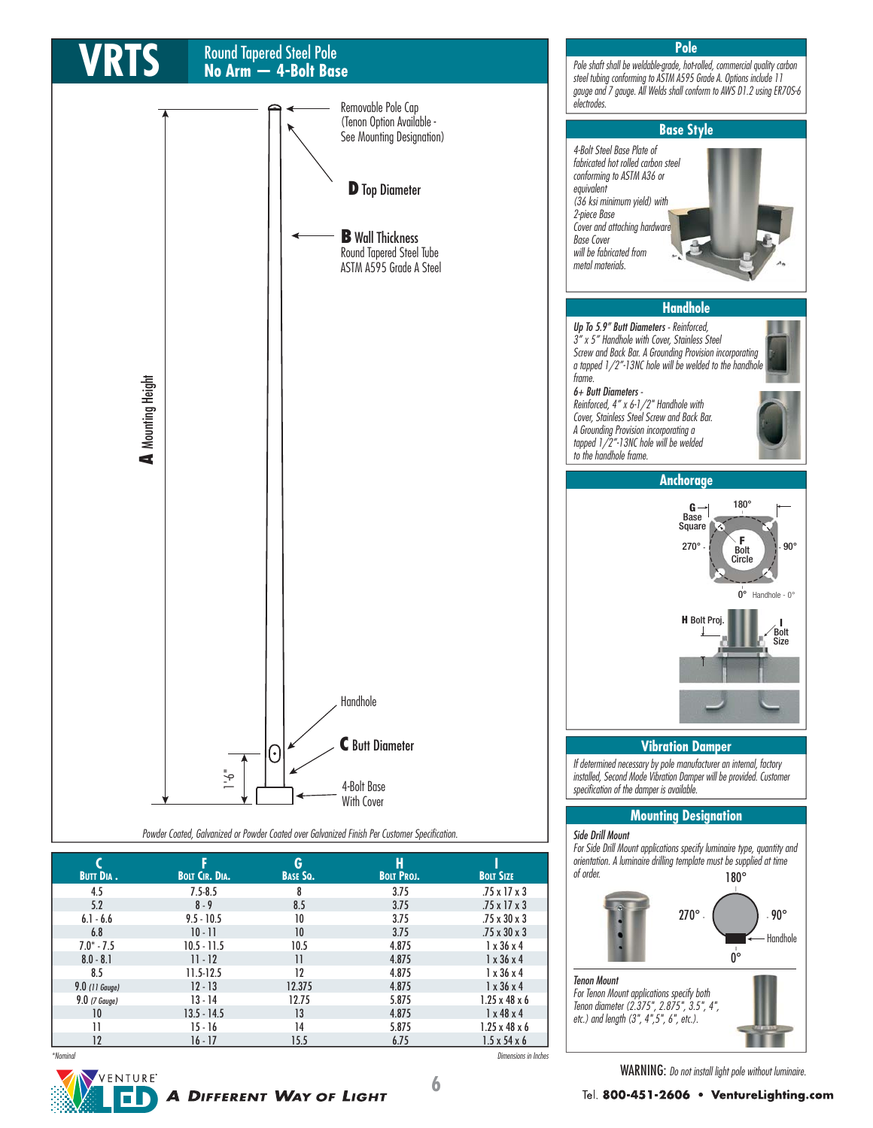

Tenon Mount For Tenon Mount applications specify both Tenon diameter (2.375", 2.875", 3.5", 4", etc.) and length (3", 4",5", 6", etc.).

WARNING: Do not install light pole without luminaire.

**6**

\*Nominal Dimensions in Inches

**A DIFFERENT WAY OF LIGHT** 

VENTURE<sup>®</sup>

6 N

 $8.5$  11.5-12.5 12 4.875 1 x 36 x 4 **9.0** (11 Gauge) 12 - 13 12.375 4.875 1 x 36 x 4  $9.0$  (7 Gauge) 13 - 14 12.75 5.875 1.25 x 48 x 6 | 10 13.5 - 14.5 13 4.875 1 x 48 x 4 11 15 - 16 14 5.875 1.25 x 48 x 6  $12$  16 - 17 15.5 6.75 1.5 x 54 x 6